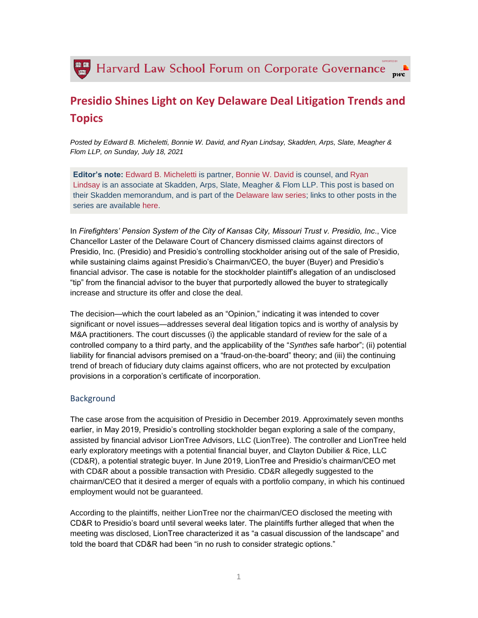

# **Presidio Shines Light on Key Delaware Deal Litigation Trends and Topics**

*Posted by Edward B. Micheletti, Bonnie W. David, and Ryan Lindsay, Skadden, Arps, Slate, Meagher & Flom LLP, on Sunday, July 18, 2021*

**Editor's note:** [Edward B. Micheletti](https://www.skadden.com/professionals/m/micheletti-edward-b) is partner, [Bonnie W. David](https://www.skadden.com/professionals/d/david-bonnie-w) is counsel, and [Ryan](https://www.skadden.com/professionals/l/lindsay-ryan)  [Lindsay](https://www.skadden.com/professionals/l/lindsay-ryan) is an associate at Skadden, Arps, Slate, Meagher & Flom LLP. This post is based on their Skadden memorandum, and is part of the [Delaware law series;](https://corpgov.law.harvard.edu/the-delaware-law-series/) links to other posts in the series are available [here.](https://corpgov.law.harvard.edu/the-delaware-law-series/)

In *Firefighters' Pension System of the City of Kansas City, Missouri Trust v. Presidio, Inc*., Vice Chancellor Laster of the Delaware Court of Chancery dismissed claims against directors of Presidio, Inc. (Presidio) and Presidio's controlling stockholder arising out of the sale of Presidio, while sustaining claims against Presidio's Chairman/CEO, the buyer (Buyer) and Presidio's financial advisor. The case is notable for the stockholder plaintiff's allegation of an undisclosed "tip" from the financial advisor to the buyer that purportedly allowed the buyer to strategically increase and structure its offer and close the deal.

The decision—which the court labeled as an "Opinion," indicating it was intended to cover significant or novel issues—addresses several deal litigation topics and is worthy of analysis by M&A practitioners. The court discusses (i) the applicable standard of review for the sale of a controlled company to a third party, and the applicability of the "*Synthes* safe harbor"; (ii) potential liability for financial advisors premised on a "fraud-on-the-board" theory; and (iii) the continuing trend of breach of fiduciary duty claims against officers, who are not protected by exculpation provisions in a corporation's certificate of incorporation.

### Background

The case arose from the acquisition of Presidio in December 2019. Approximately seven months earlier, in May 2019, Presidio's controlling stockholder began exploring a sale of the company, assisted by financial advisor LionTree Advisors, LLC (LionTree). The controller and LionTree held early exploratory meetings with a potential financial buyer, and Clayton Dubilier & Rice, LLC (CD&R), a potential strategic buyer. In June 2019, LionTree and Presidio's chairman/CEO met with CD&R about a possible transaction with Presidio. CD&R allegedly suggested to the chairman/CEO that it desired a merger of equals with a portfolio company, in which his continued employment would not be guaranteed.

According to the plaintiffs, neither LionTree nor the chairman/CEO disclosed the meeting with CD&R to Presidio's board until several weeks later. The plaintiffs further alleged that when the meeting was disclosed, LionTree characterized it as "a casual discussion of the landscape" and told the board that CD&R had been "in no rush to consider strategic options."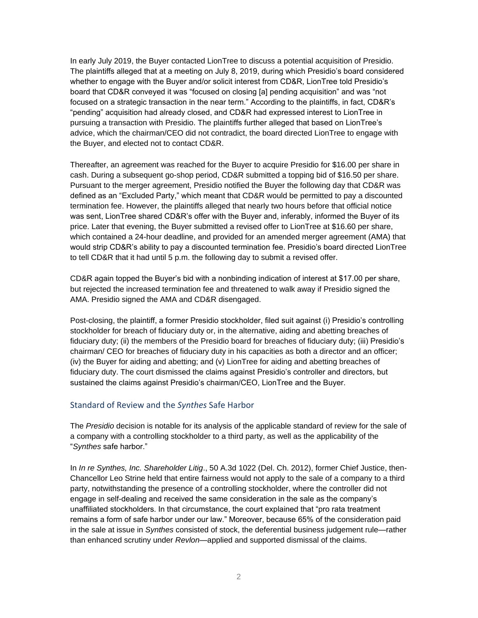In early July 2019, the Buyer contacted LionTree to discuss a potential acquisition of Presidio. The plaintiffs alleged that at a meeting on July 8, 2019, during which Presidio's board considered whether to engage with the Buyer and/or solicit interest from CD&R, LionTree told Presidio's board that CD&R conveyed it was "focused on closing [a] pending acquisition" and was "not focused on a strategic transaction in the near term." According to the plaintiffs, in fact, CD&R's "pending" acquisition had already closed, and CD&R had expressed interest to LionTree in pursuing a transaction with Presidio. The plaintiffs further alleged that based on LionTree's advice, which the chairman/CEO did not contradict, the board directed LionTree to engage with the Buyer, and elected not to contact CD&R.

Thereafter, an agreement was reached for the Buyer to acquire Presidio for \$16.00 per share in cash. During a subsequent go-shop period, CD&R submitted a topping bid of \$16.50 per share. Pursuant to the merger agreement, Presidio notified the Buyer the following day that CD&R was defined as an "Excluded Party," which meant that CD&R would be permitted to pay a discounted termination fee. However, the plaintiffs alleged that nearly two hours before that official notice was sent, LionTree shared CD&R's offer with the Buyer and, inferably, informed the Buyer of its price. Later that evening, the Buyer submitted a revised offer to LionTree at \$16.60 per share, which contained a 24-hour deadline, and provided for an amended merger agreement (AMA) that would strip CD&R's ability to pay a discounted termination fee. Presidio's board directed LionTree to tell CD&R that it had until 5 p.m. the following day to submit a revised offer.

CD&R again topped the Buyer's bid with a nonbinding indication of interest at \$17.00 per share, but rejected the increased termination fee and threatened to walk away if Presidio signed the AMA. Presidio signed the AMA and CD&R disengaged.

Post-closing, the plaintiff, a former Presidio stockholder, filed suit against (i) Presidio's controlling stockholder for breach of fiduciary duty or, in the alternative, aiding and abetting breaches of fiduciary duty; (ii) the members of the Presidio board for breaches of fiduciary duty; (iii) Presidio's chairman/ CEO for breaches of fiduciary duty in his capacities as both a director and an officer; (iv) the Buyer for aiding and abetting; and (v) LionTree for aiding and abetting breaches of fiduciary duty. The court dismissed the claims against Presidio's controller and directors, but sustained the claims against Presidio's chairman/CEO, LionTree and the Buyer.

#### Standard of Review and the *Synthes* Safe Harbor

The *Presidio* decision is notable for its analysis of the applicable standard of review for the sale of a company with a controlling stockholder to a third party, as well as the applicability of the "*Synthes* safe harbor."

In *In re Synthes, Inc. Shareholder Litig*., 50 A.3d 1022 (Del. Ch. 2012), former Chief Justice, then-Chancellor Leo Strine held that entire fairness would not apply to the sale of a company to a third party, notwithstanding the presence of a controlling stockholder, where the controller did not engage in self-dealing and received the same consideration in the sale as the company's unaffiliated stockholders. In that circumstance, the court explained that "pro rata treatment remains a form of safe harbor under our law." Moreover, because 65% of the consideration paid in the sale at issue in *Synthes* consisted of stock, the deferential business judgement rule—rather than enhanced scrutiny under *Revlon*—applied and supported dismissal of the claims.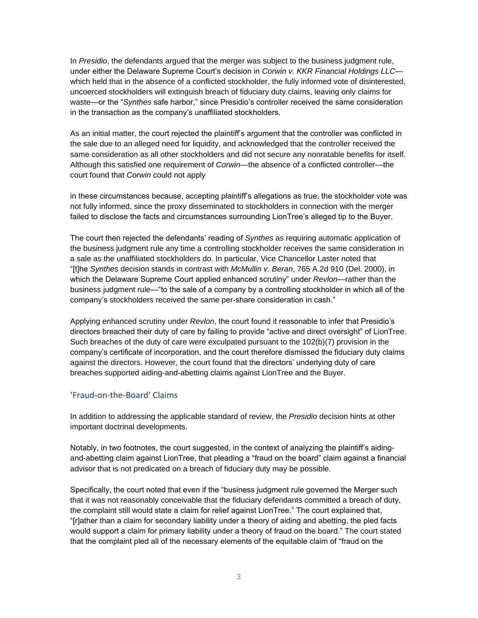In *Presidio*, the defendants argued that the merger was subject to the business judgment rule, under either the Delaware Supreme Court's decision in *Corwin v. KKR Financial Holdings LLC* which held that in the absence of a conflicted stockholder, the fully informed vote of disinterested, uncoerced stockholders will extinguish breach of fiduciary duty claims, leaving only claims for waste—or the "*Synthes* safe harbor," since Presidio's controller received the same consideration in the transaction as the company's unaffiliated stockholders.

As an initial matter, the court rejected the plaintiff's argument that the controller was conflicted in the sale due to an alleged need for liquidity, and acknowledged that the controller received the same consideration as all other stockholders and did not secure any nonratable benefits for itself. Although this satisfied one requirement of *Corwin*—the absence of a conflicted controller—the court found that *Corwin* could not apply

in these circumstances because, accepting plaintiff's allegations as true, the stockholder vote was not fully informed, since the proxy disseminated to stockholders in connection with the merger failed to disclose the facts and circumstances surrounding LionTree's alleged tip to the Buyer.

The court then rejected the defendants' reading of *Synthes* as requiring automatic application of the business judgment rule any time a controlling stockholder receives the same consideration in a sale as the unaffiliated stockholders do. In particular, Vice Chancellor Laster noted that "[t]he *Synthes* decision stands in contrast with *McMullin v. Beran*, 765 A.2d 910 (Del. 2000), in which the Delaware Supreme Court applied enhanced scrutiny" under *Revlon*—rather than the business judgment rule—"to the sale of a company by a controlling stockholder in which all of the company's stockholders received the same per-share consideration in cash."

Applying enhanced scrutiny under *Revlon*, the court found it reasonable to infer that Presidio's directors breached their duty of care by failing to provide "active and direct oversight" of LionTree. Such breaches of the duty of care were exculpated pursuant to the 102(b)(7) provision in the company's certificate of incorporation, and the court therefore dismissed the fiduciary duty claims against the directors. However, the court found that the directors' underlying duty of care breaches supported aiding-and-abetting claims against LionTree and the Buyer.

# 'Fraud-on-the-Board' Claims

In addition to addressing the applicable standard of review, the *Presidio* decision hints at other important doctrinal developments.

Notably, in two footnotes, the court suggested, in the context of analyzing the plaintiff's aidingand-abetting claim against LionTree, that pleading a "fraud on the board" claim against a financial advisor that is not predicated on a breach of fiduciary duty may be possible.

Specifically, the court noted that even if the "business judgment rule governed the Merger such that it was not reasonably conceivable that the fiduciary defendants committed a breach of duty, the complaint still would state a claim for relief against LionTree." The court explained that, "[r]ather than a claim for secondary liability under a theory of aiding and abetting, the pled facts would support a claim for primary liability under a theory of fraud on the board." The court stated that the complaint pled all of the necessary elements of the equitable claim of "fraud on the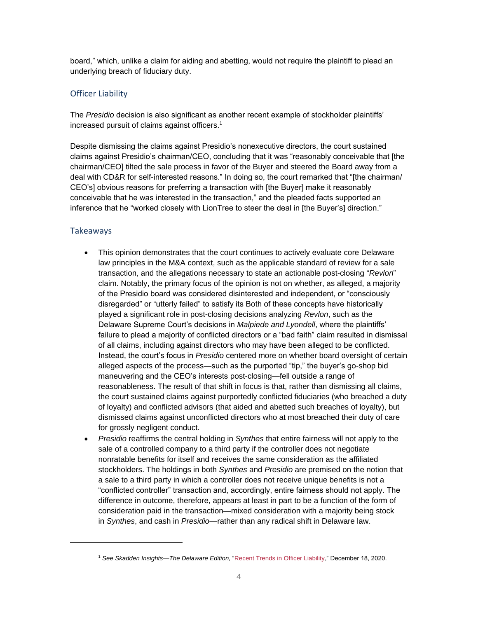board," which, unlike a claim for aiding and abetting, would not require the plaintiff to plead an underlying breach of fiduciary duty.

## Officer Liability

The *Presidio* decision is also significant as another recent example of stockholder plaintiffs' increased pursuit of claims against officers.<sup>1</sup>

Despite dismissing the claims against Presidio's nonexecutive directors, the court sustained claims against Presidio's chairman/CEO, concluding that it was "reasonably conceivable that [the chairman/CEO] tilted the sale process in favor of the Buyer and steered the Board away from a deal with CD&R for self-interested reasons." In doing so, the court remarked that "[the chairman/ CEO's] obvious reasons for preferring a transaction with [the Buyer] make it reasonably conceivable that he was interested in the transaction," and the pleaded facts supported an inference that he "worked closely with LionTree to steer the deal in [the Buyer's] direction."

### Takeaways

- This opinion demonstrates that the court continues to actively evaluate core Delaware law principles in the M&A context, such as the applicable standard of review for a sale transaction, and the allegations necessary to state an actionable post-closing "*Revlon*" claim. Notably, the primary focus of the opinion is not on whether, as alleged, a majority of the Presidio board was considered disinterested and independent, or "consciously disregarded" or "utterly failed" to satisfy its Both of these concepts have historically played a significant role in post-closing decisions analyzing *Revlon*, such as the Delaware Supreme Court's decisions in *Malpiede and Lyondell*, where the plaintiffs' failure to plead a majority of conflicted directors or a "bad faith" claim resulted in dismissal of all claims, including against directors who may have been alleged to be conflicted. Instead, the court's focus in *Presidio* centered more on whether board oversight of certain alleged aspects of the process—such as the purported "tip," the buyer's go-shop bid maneuvering and the CEO's interests post-closing—fell outside a range of reasonableness. The result of that shift in focus is that, rather than dismissing all claims, the court sustained claims against purportedly conflicted fiduciaries (who breached a duty of loyalty) and conflicted advisors (that aided and abetted such breaches of loyalty), but dismissed claims against unconflicted directors who at most breached their duty of care for grossly negligent conduct.
- *Presidio* reaffirms the central holding in *Synthes* that entire fairness will not apply to the sale of a controlled company to a third party if the controller does not negotiate nonratable benefits for itself and receives the same consideration as the affiliated stockholders. The holdings in both *Synthes* and *Presidio* are premised on the notion that a sale to a third party in which a controller does not receive unique benefits is not a "conflicted controller" transaction and, accordingly, entire fairness should not apply. The difference in outcome, therefore, appears at least in part to be a function of the form of consideration paid in the transaction—mixed consideration with a majority being stock in *Synthes*, and cash in *Presidio*—rather than any radical shift in Delaware law.

<sup>1</sup> *See Skadden Insights—The Delaware Edition,* ["Recent Trends in Officer Liability,](https://www.skadden.com/insights/publications/2020/12/insights-the-delaware-edition/recent-trends-in-officer-liability)" December 18, 2020.